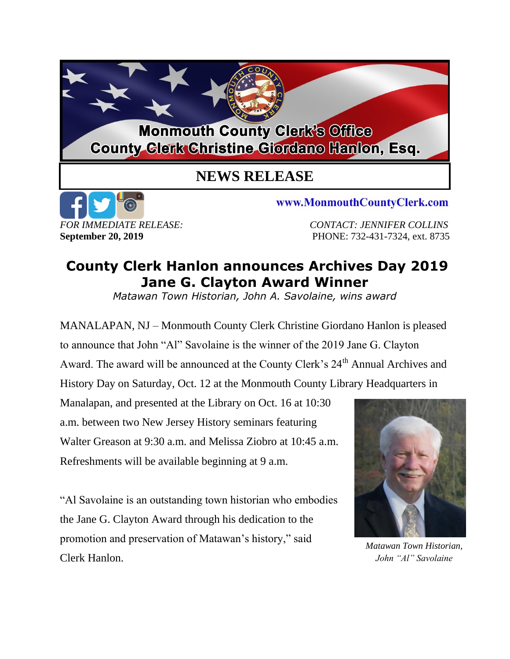## **Monmouth County Clerk's Office County Clerk Christine Giordano Hanlon, Esq.**

## **NEWS RELEASE**



www.MonmouthCountyClerk.com

*FOR IMMEDIATE RELEASE: CONTACT: JENNIFER COLLINS* **September 20, 2019 PHONE: 732-431-7324, ext. 8735** 

## **County Clerk Hanlon announces Archives Day 2019 Jane G. Clayton Award Winner**

*Matawan Town Historian, John A. Savolaine, wins award*

MANALAPAN, NJ – Monmouth County Clerk Christine Giordano Hanlon is pleased to announce that John "Al" Savolaine is the winner of the 2019 Jane G. Clayton Award. The award will be announced at the County Clerk's 24<sup>th</sup> Annual Archives and History Day on Saturday, Oct. 12 at the Monmouth County Library Headquarters in

Manalapan, and presented at the Library on Oct. 16 at 10:30 a.m. between two New Jersey History seminars featuring Walter Greason at 9:30 a.m. and Melissa Ziobro at 10:45 a.m. Refreshments will be available beginning at 9 a.m.

"Al Savolaine is an outstanding town historian who embodies the Jane G. Clayton Award through his dedication to the promotion and preservation of Matawan's history," said Clerk Hanlon.



*Matawan Town Historian, John "Al" Savolaine*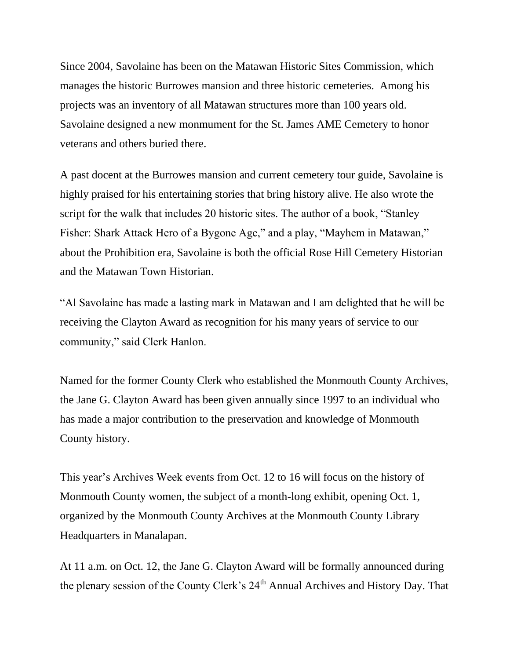Since 2004, Savolaine has been on the Matawan Historic Sites Commission, which manages the historic Burrowes mansion and three historic cemeteries. Among his projects was an inventory of all Matawan structures more than 100 years old. Savolaine designed a new monmument for the St. James AME Cemetery to honor veterans and others buried there.

A past docent at the Burrowes mansion and current cemetery tour guide, Savolaine is highly praised for his entertaining stories that bring history alive. He also wrote the script for the walk that includes 20 historic sites. The author of a book, "Stanley Fisher: Shark Attack Hero of a Bygone Age," and a play, "Mayhem in Matawan," about the Prohibition era, Savolaine is both the official Rose Hill Cemetery Historian and the Matawan Town Historian.

"Al Savolaine has made a lasting mark in Matawan and I am delighted that he will be receiving the Clayton Award as recognition for his many years of service to our community," said Clerk Hanlon.

Named for the former County Clerk who established the Monmouth County Archives, the Jane G. Clayton Award has been given annually since 1997 to an individual who has made a major contribution to the preservation and knowledge of Monmouth County history.

This year's Archives Week events from Oct. 12 to 16 will focus on the history of Monmouth County women, the subject of a month-long exhibit, opening Oct. 1, organized by the Monmouth County Archives at the Monmouth County Library Headquarters in Manalapan.

At 11 a.m. on Oct. 12, the Jane G. Clayton Award will be formally announced during the plenary session of the County Clerk's 24<sup>th</sup> Annual Archives and History Day. That